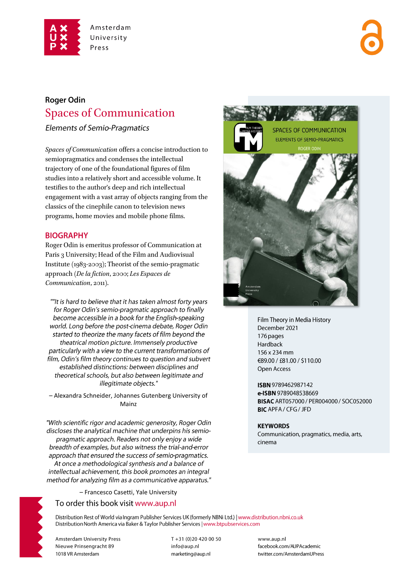

# **Roger Odin** Spaces of Communication

**Elements of Semio-Pragmatics** 

*Spaces of Communication* offers a concise introduction to semiopragmatics and condenses the intellectual trajectory of one of the foundational figures of film studies into a relatively short and accessible volume. It testifies to the author's deep and rich intellectual engagement with a vast array of objects ranging from the classics of the cinephile canon to television news programs, home movies and mobile phone films.

### **BIOGRAPHY**

Roger Odin is emeritus professor of Communication at Paris 3 University; Head of the Film and Audiovisual Institute (1983-2003); Theorist of the semio-pragmatic approach (*De la fiction*, 2000; *Les Espaces de Communication*, 2011).

""It is hard to believe that it has taken almost forty years for Roger Odin's semio-pragmatic approach to finally become accessible in a book for the English-speaking world. Long before the post-cinema debate, Roger Odin started to theorize the many facets of film beyond the theatrical motion picture. Immensely productive particularly with a view to the current transformations of film, Odin's film theory continues to question and subvert established distinctions: between disciplines and theoretical schools, but also between legitimate and illegitimate objects."

– Alexandra Schneider, Johannes Gutenberg University of Mainz

"With scientific rigor and academic generosity, Roger Odin discloses the analytical machine that underpins his semiopragmatic approach. Readers not only enjoy a wide breadth of examples, but also witness the trial-and-error approach that ensured the success of semio-pragmatics. At once a methodological synthesis and a balance of intellectual achievement, this book promotes an integral method for analyzing film as a communicative apparatus."

– Francesco Casetti, Yale University

### To order this book visit www.aup.nl



Film Theory in Media History December 2021 176 pages Hardback 156 x 234 mm €89.00 / £81.00 / \$110.00 Open Access

ISBN 9789462987142 e-ISBN 9789048538669 **BISAC ART057000 / PER004000 / SOC052000 BIC** APFA / CFG / JFD

#### **KEYWORDS**

Communication, pragmatics, media, arts, cinema

Distribution Rest of World via Ingram Publisher Services UK (formerly NBNi Ltd.) | www.distribution.nbni.co.uk Distribution North America via Baker & Taylor Publisher Services | www.btpubservices.com

**Amsterdam University Press** Nieuwe Prinsengracht 89 1018 VR Amsterdam

T+31 (0)20 420 00 50 info@aup.nl marketing@aup.nl

www.aup.nl facebook.com/AUPAcademic twitter.com/AmsterdamUPress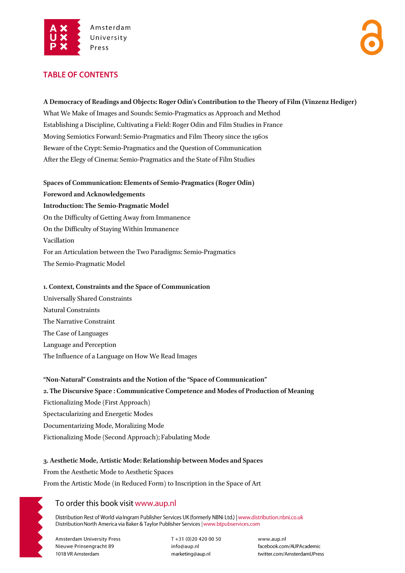

### **TABLE OF CONTENTS**

**A Democracy of Readings and Objects: Roger Odin's Contribution to the Theory of Film (Vinzenz Hediger)**

What We Make of Images and Sounds: Semio-Pragmatics as Approach and Method Establishing a Discipline, Cultivating a Field: Roger Odin and Film Studies in France Moving Semiotics Forward: Semio-Pragmatics and Film Theory since the 1960s Beware of the Crypt: Semio-Pragmatics and the Question of Communication After the Elegy of Cinema: Semio-Pragmatics and the State of Film Studies

**Spaces of Communication: Elements of Semio-Pragmatics (Roger Odin) Foreword and Acknowledgements Introduction: The Semio-Pragmatic Model** On the Difficulty of Getting Away from Immanence On the Difficulty of Staying Within Immanence Vacillation For an Articulation between the Two Paradigms: Semio-Pragmatics The Semio-Pragmatic Model

### **1. Context, Constraints and the Space of Communication**

Universally Shared Constraints Natural Constraints The Narrative Constraint The Case of Languages Language and Perception The Influence of a Language on How We Read Images

**"Non-Natural" Constraints and the Notion of the "Space of Communication" 2. The Discursive Space : Communicative Competence and Modes of Production of Meaning** Fictionalizing Mode (First Approach) Spectacularizing and Energetic Modes Documentarizing Mode, Moralizing Mode Fictionalizing Mode (Second Approach); Fabulating Mode

### **3. Aesthetic Mode, Artistic Mode: Relationship between Modes and Spaces**

From the Aesthetic Mode to Aesthetic Spaces From the Artistic Mode (in Reduced Form) to Inscription in the Space of Art

## To order this book visit www.aup.nl

Distribution Rest of World via Ingram Publisher Services UK (formerly NBNi Ltd.) | www.distribution.nbni.co.uk Distribution North America via Baker & Taylor Publisher Services | www.btpubservices.com

**Amsterdam University Press** Nieuwe Prinsengracht 89 1018 VR Amsterdam

T+31 (0)20 420 00 50 info@aup.nl marketing@aup.nl

www.aup.nl facebook.com/AUPAcademic twitter.com/AmsterdamUPress